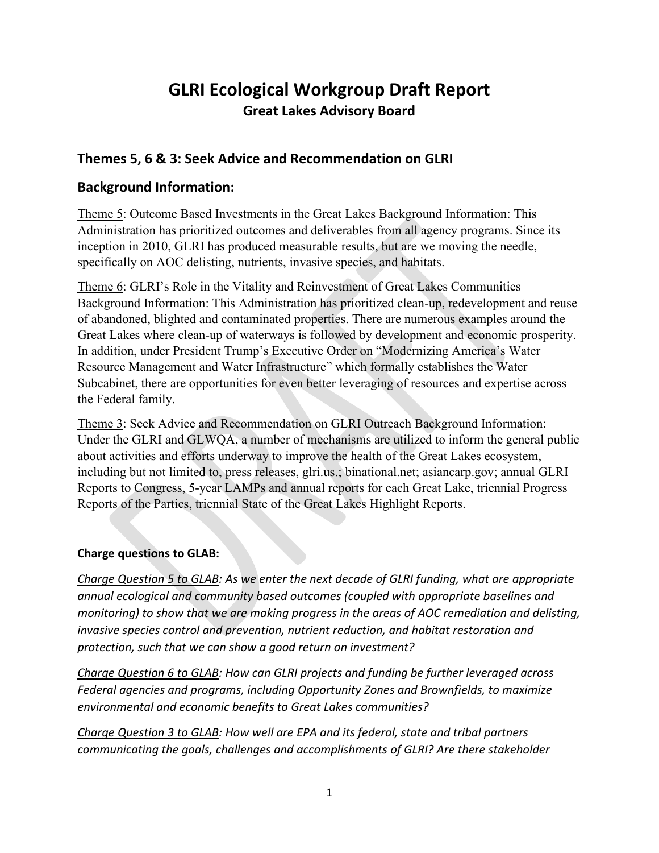# **GLRI Ecological Workgroup Draft Report Great Lakes Advisory Board**

# **Themes 5, 6 & 3: Seek Advice and Recommendation on GLRI**

# **Background Information:**

Theme 5: Outcome Based Investments in the Great Lakes Background Information: This Administration has prioritized outcomes and deliverables from all agency programs. Since its inception in 2010, GLRI has produced measurable results, but are we moving the needle, specifically on AOC delisting, nutrients, invasive species, and habitats.

Theme 6: GLRI's Role in the Vitality and Reinvestment of Great Lakes Communities Background Information: This Administration has prioritized clean-up, redevelopment and reuse of abandoned, blighted and contaminated properties. There are numerous examples around the Great Lakes where clean-up of waterways is followed by development and economic prosperity. In addition, under President Trump's Executive Order on "Modernizing America's Water Resource Management and Water Infrastructure" which formally establishes the Water Subcabinet, there are opportunities for even better leveraging of resources and expertise across the Federal family.

Theme 3: Seek Advice and Recommendation on GLRI Outreach Background Information: Under the GLRI and GLWQA, a number of mechanisms are utilized to inform the general public about activities and efforts underway to improve the health of the Great Lakes ecosystem, including but not limited to, press releases, glri.us.; binational.net; asiancarp.gov; annual GLRI Reports to Congress, 5-year LAMPs and annual reports for each Great Lake, triennial Progress Reports of the Parties, triennial State of the Great Lakes Highlight Reports.

# **Charge questions to GLAB:**

*Charge Question 5 to GLAB: As we enter the next decade of GLRI funding, what are appropriate annual ecological and community based outcomes (coupled with appropriate baselines and monitoring) to show that we are making progress in the areas of AOC remediation and delisting, invasive species control and prevention, nutrient reduction, and habitat restoration and protection, such that we can show a good return on investment?*

*Charge Question 6 to GLAB: How can GLRI projects and funding be further leveraged across Federal agencies and programs, including Opportunity Zones and Brownfields, to maximize environmental and economic benefits to Great Lakes communities?*

*Charge Question 3 to GLAB: How well are EPA and its federal, state and tribal partners communicating the goals, challenges and accomplishments of GLRI? Are there stakeholder*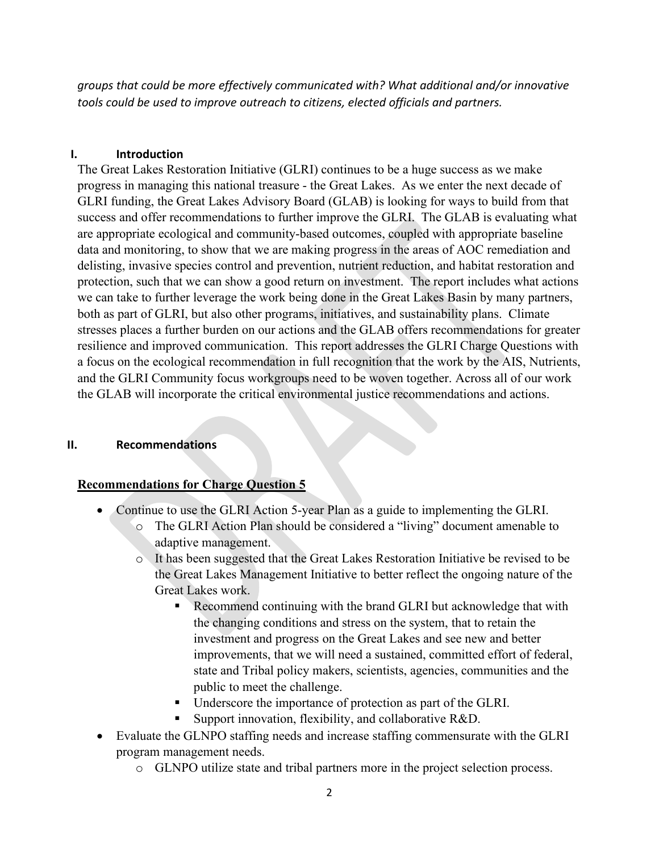*groups that could be more effectively communicated with? What additional and/or innovative tools could be used to improve outreach to citizens, elected officials and partners.*

#### **I. Introduction**

The Great Lakes Restoration Initiative (GLRI) continues to be a huge success as we make progress in managing this national treasure - the Great Lakes. As we enter the next decade of GLRI funding, the Great Lakes Advisory Board (GLAB) is looking for ways to build from that success and offer recommendations to further improve the GLRI. The GLAB is evaluating what are appropriate ecological and community-based outcomes, coupled with appropriate baseline data and monitoring, to show that we are making progress in the areas of AOC remediation and delisting, invasive species control and prevention, nutrient reduction, and habitat restoration and protection, such that we can show a good return on investment. The report includes what actions we can take to further leverage the work being done in the Great Lakes Basin by many partners, both as part of GLRI, but also other programs, initiatives, and sustainability plans. Climate stresses places a further burden on our actions and the GLAB offers recommendations for greater resilience and improved communication. This report addresses the GLRI Charge Questions with a focus on the ecological recommendation in full recognition that the work by the AIS, Nutrients, and the GLRI Community focus workgroups need to be woven together. Across all of our work the GLAB will incorporate the critical environmental justice recommendations and actions.

# **II. Recommendations**

# **Recommendations for Charge Question 5**

- Continue to use the GLRI Action 5-year Plan as a guide to implementing the GLRI.
	- o The GLRI Action Plan should be considered a "living" document amenable to adaptive management.
	- o It has been suggested that the Great Lakes Restoration Initiative be revised to be the Great Lakes Management Initiative to better reflect the ongoing nature of the Great Lakes work.
		- Recommend continuing with the brand GLRI but acknowledge that with the changing conditions and stress on the system, that to retain the investment and progress on the Great Lakes and see new and better improvements, that we will need a sustained, committed effort of federal, state and Tribal policy makers, scientists, agencies, communities and the public to meet the challenge.
		- Underscore the importance of protection as part of the GLRI.
		- Support innovation, flexibility, and collaborative R&D.
- Evaluate the GLNPO staffing needs and increase staffing commensurate with the GLRI program management needs.
	- o GLNPO utilize state and tribal partners more in the project selection process.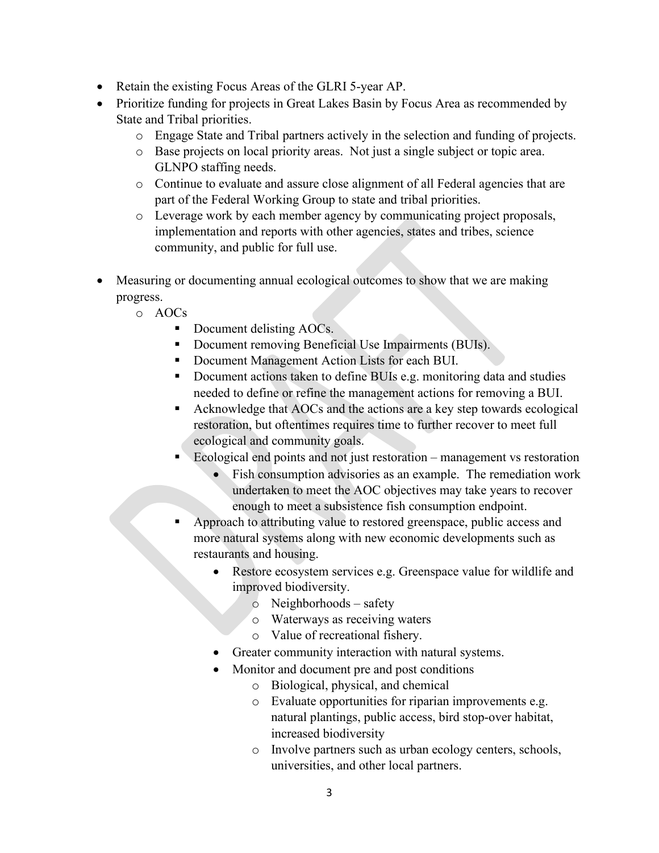- Retain the existing Focus Areas of the GLRI 5-year AP.
- Prioritize funding for projects in Great Lakes Basin by Focus Area as recommended by State and Tribal priorities.
	- o Engage State and Tribal partners actively in the selection and funding of projects.
	- o Base projects on local priority areas. Not just a single subject or topic area. GLNPO staffing needs.
	- o Continue to evaluate and assure close alignment of all Federal agencies that are part of the Federal Working Group to state and tribal priorities.
	- o Leverage work by each member agency by communicating project proposals, implementation and reports with other agencies, states and tribes, science community, and public for full use.
- Measuring or documenting annual ecological outcomes to show that we are making progress.
	- o AOCs
		- Document delisting AOCs.
		- Document removing Beneficial Use Impairments (BUIs).
		- Document Management Action Lists for each BUI.
		- Document actions taken to define BUIs e.g. monitoring data and studies needed to define or refine the management actions for removing a BUI.
		- Acknowledge that AOCs and the actions are a key step towards ecological restoration, but oftentimes requires time to further recover to meet full ecological and community goals.
		- Ecological end points and not just restoration management vs restoration
			- Fish consumption advisories as an example. The remediation work undertaken to meet the AOC objectives may take years to recover enough to meet a subsistence fish consumption endpoint.
		- Approach to attributing value to restored greenspace, public access and more natural systems along with new economic developments such as restaurants and housing.
			- Restore ecosystem services e.g. Greenspace value for wildlife and improved biodiversity.
				- o Neighborhoods safety
				- o Waterways as receiving waters
				- o Value of recreational fishery.
			- Greater community interaction with natural systems.
			- Monitor and document pre and post conditions
				- o Biological, physical, and chemical
				- o Evaluate opportunities for riparian improvements e.g. natural plantings, public access, bird stop-over habitat, increased biodiversity
				- o Involve partners such as urban ecology centers, schools, universities, and other local partners.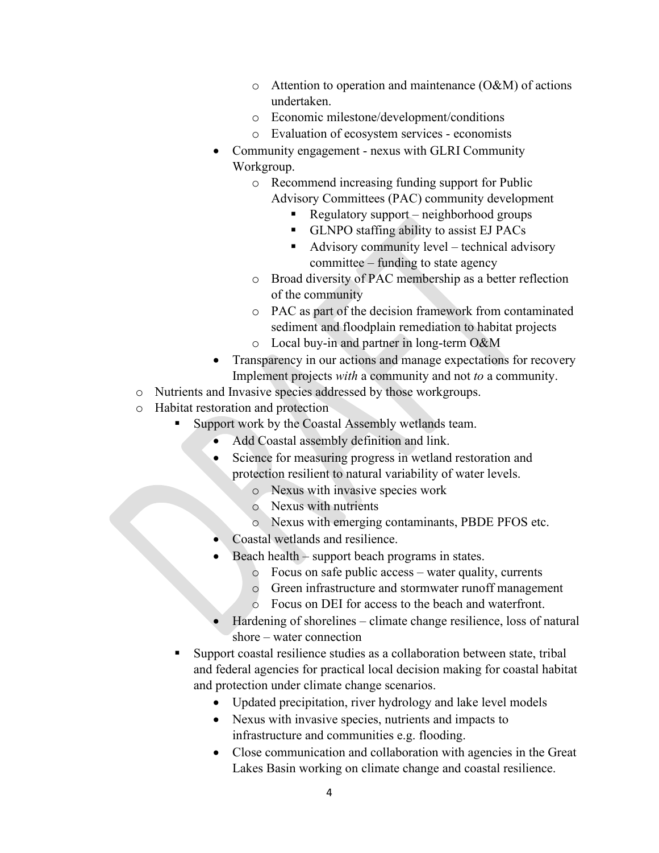- $\circ$  Attention to operation and maintenance (O&M) of actions undertaken.
- o Economic milestone/development/conditions
- o Evaluation of ecosystem services economists
- Community engagement nexus with GLRI Community Workgroup.
	- o Recommend increasing funding support for Public Advisory Committees (PAC) community development
		- Regulatory support neighborhood groups
		- GLNPO staffing ability to assist EJ PACs
		- Advisory community level technical advisory committee – funding to state agency
	- o Broad diversity of PAC membership as a better reflection of the community
	- o PAC as part of the decision framework from contaminated sediment and floodplain remediation to habitat projects
	- o Local buy-in and partner in long-term O&M
- Transparency in our actions and manage expectations for recovery Implement projects *with* a community and not *to* a community.
- o Nutrients and Invasive species addressed by those workgroups.
- o Habitat restoration and protection
	- Support work by the Coastal Assembly wetlands team.
		- Add Coastal assembly definition and link.
		- Science for measuring progress in wetland restoration and protection resilient to natural variability of water levels.
			- o Nexus with invasive species work
			- o Nexus with nutrients
			- o Nexus with emerging contaminants, PBDE PFOS etc.
		- Coastal wetlands and resilience.
		- Beach health support beach programs in states.
			- o Focus on safe public access water quality, currents
			- o Green infrastructure and stormwater runoff management
			- o Focus on DEI for access to the beach and waterfront.
		- Hardening of shorelines climate change resilience, loss of natural shore – water connection
	- Support coastal resilience studies as a collaboration between state, tribal and federal agencies for practical local decision making for coastal habitat and protection under climate change scenarios.
		- Updated precipitation, river hydrology and lake level models
		- Nexus with invasive species, nutrients and impacts to infrastructure and communities e.g. flooding.
		- Close communication and collaboration with agencies in the Great Lakes Basin working on climate change and coastal resilience.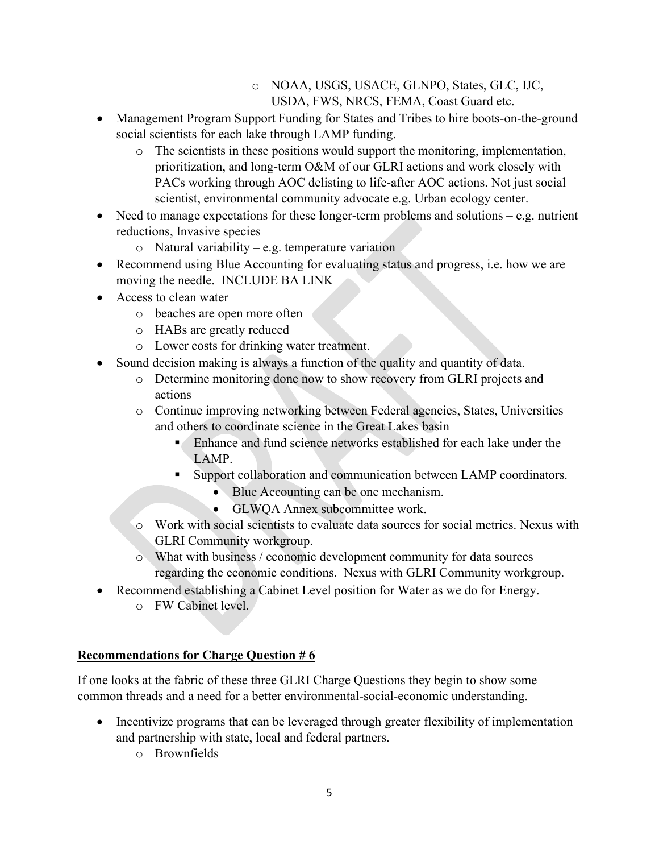- o NOAA, USGS, USACE, GLNPO, States, GLC, IJC, USDA, FWS, NRCS, FEMA, Coast Guard etc.
- Management Program Support Funding for States and Tribes to hire boots-on-the-ground social scientists for each lake through LAMP funding.
	- $\circ$  The scientists in these positions would support the monitoring, implementation, prioritization, and long-term O&M of our GLRI actions and work closely with PACs working through AOC delisting to life-after AOC actions. Not just social scientist, environmental community advocate e.g. Urban ecology center.
- Need to manage expectations for these longer-term problems and solutions e.g. nutrient reductions, Invasive species
	- $\circ$  Natural variability e.g. temperature variation
- Recommend using Blue Accounting for evaluating status and progress, i.e. how we are moving the needle. INCLUDE BA LINK
- Access to clean water
	- o beaches are open more often
	- o HABs are greatly reduced
	- o Lower costs for drinking water treatment.
- Sound decision making is always a function of the quality and quantity of data.
	- o Determine monitoring done now to show recovery from GLRI projects and actions
	- o Continue improving networking between Federal agencies, States, Universities and others to coordinate science in the Great Lakes basin
		- Enhance and fund science networks established for each lake under the LAMP.
		- Support collaboration and communication between LAMP coordinators.
			- Blue Accounting can be one mechanism.
			- GLWQA Annex subcommittee work.
	- o Work with social scientists to evaluate data sources for social metrics. Nexus with GLRI Community workgroup.
	- o What with business / economic development community for data sources regarding the economic conditions. Nexus with GLRI Community workgroup.
- Recommend establishing a Cabinet Level position for Water as we do for Energy.
	- o FW Cabinet level.

# **Recommendations for Charge Question # 6**

If one looks at the fabric of these three GLRI Charge Questions they begin to show some common threads and a need for a better environmental-social-economic understanding.

- Incentivize programs that can be leveraged through greater flexibility of implementation and partnership with state, local and federal partners.
	- o Brownfields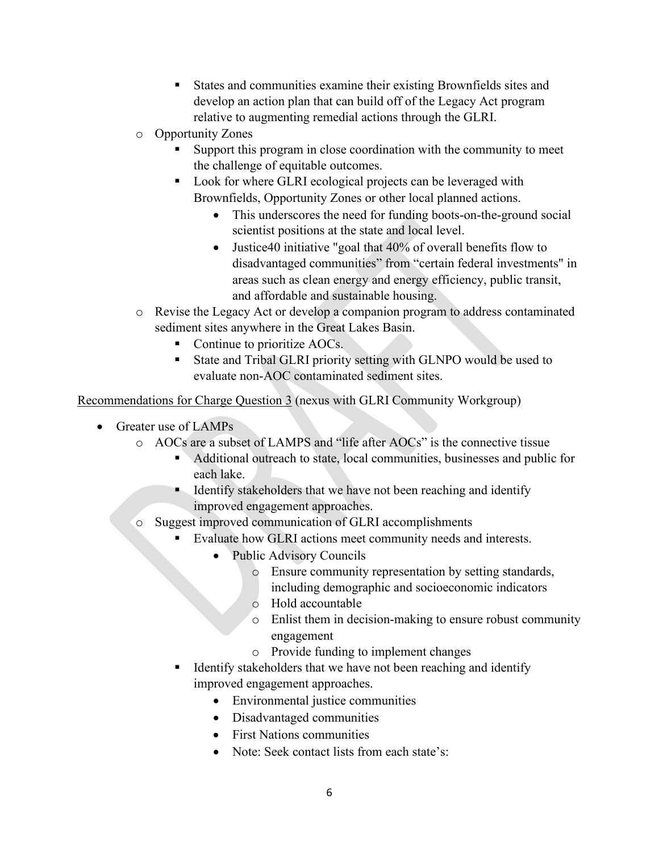- States and communities examine their existing Brownfields sites and develop an action plan that can build off of the Legacy Act program relative to augmenting remedial actions through the GLRI.
- o Opportunity Zones
	- Support this program in close coordination with the community to meet the challenge of equitable outcomes.
	- Look for where GLRI ecological projects can be leveraged with Brownfields, Opportunity Zones or other local planned actions.
		- This underscores the need for funding boots-on-the-ground social scientist positions at the state and local level.
		- Justice40 initiative "goal that 40% of overall benefits flow to disadvantaged communities" from "certain federal investments" in areas such as clean energy and energy efficiency, public transit, and affordable and sustainable housing.
- o Revise the Legacy Act or develop a companion program to address contaminated sediment sites anywhere in the Great Lakes Basin.
	- Continue to prioritize AOCs.
	- State and Tribal GLRI priority setting with GLNPO would be used to evaluate non-AOC contaminated sediment sites.

Recommendations for Charge Question 3 (nexus with GLRI Community Workgroup)

- Greater use of LAMPs
	- o AOCs are a subset of LAMPS and "life after AOCs" is the connective tissue
		- Additional outreach to state, local communities, businesses and public for each lake.
		- Identify stakeholders that we have not been reaching and identify improved engagement approaches.
	- o Suggest improved communication of GLRI accomplishments
		- Evaluate how GLRI actions meet community needs and interests.
			- Public Advisory Councils
				- o Ensure community representation by setting standards, including demographic and socioeconomic indicators
				- o Hold accountable
				- o Enlist them in decision-making to ensure robust community engagement
				- o Provide funding to implement changes
		- Identify stakeholders that we have not been reaching and identify improved engagement approaches.
			- Environmental justice communities
			- Disadvantaged communities
			- First Nations communities
			- Note: Seek contact lists from each state's: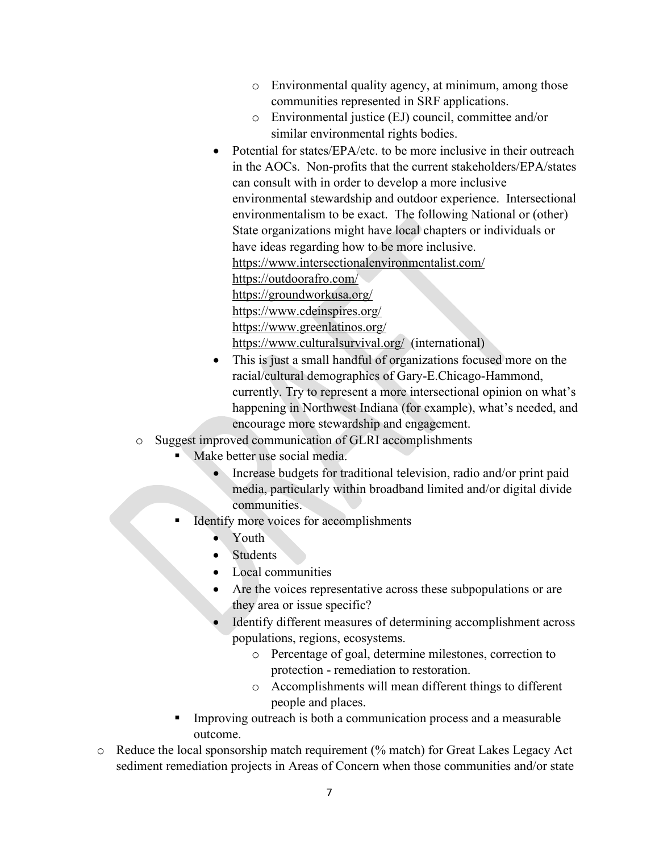- o Environmental quality agency, at minimum, among those communities represented in SRF applications.
- o Environmental justice (EJ) council, committee and/or similar environmental rights bodies.
- Potential for states/EPA/etc. to be more inclusive in their outreach in the AOCs. Non-profits that the current stakeholders/EPA/states can consult with in order to develop a more inclusive environmental stewardship and outdoor experience. Intersectional environmentalism to be exact. The following National or (other) State organizations might have local chapters or individuals or have ideas regarding how to be more inclusive. [https://www.intersectionalenvironmentalist.com/](https://protect2.fireeye.com/v1/url?k=2888745b-77134d53-288c3d5b-86e696e30194-218881b096aa9503&q=1&e=1fa4fb28-4f33-4d66-bea5-48da26b42ed6&u=https%3A%2F%2Fwww.intersectionalenvironmentalist.com%2F) [https://outdoorafro.com/](https://protect2.fireeye.com/v1/url?k=6c5c67d5-33c75edd-6c582ed5-86e696e30194-ea097d5fec16fb36&q=1&e=1fa4fb28-4f33-4d66-bea5-48da26b42ed6&u=https%3A%2F%2Foutdoorafro.com%2F) [https://groundworkusa.org/](https://protect2.fireeye.com/v1/url?k=34b5b55d-6b2e8c55-34b1fc5d-86e696e30194-80143c8c64d6e1aa&q=1&e=1fa4fb28-4f33-4d66-bea5-48da26b42ed6&u=https%3A%2F%2Fgroundworkusa.org%2F) [https://www.cdeinspires.org/](https://protect2.fireeye.com/v1/url?k=68bb7e43-3720474b-68bf3743-86e696e30194-a1d107656050d169&q=1&e=1fa4fb28-4f33-4d66-bea5-48da26b42ed6&u=https%3A%2F%2Fwww.cdeinspires.org%2F) [https://www.greenlatinos.org/](https://protect2.fireeye.com/v1/url?k=49cc6588-16575c80-49c82c88-86e696e30194-622f02ac9e883ccb&q=1&e=1fa4fb28-4f33-4d66-bea5-48da26b42ed6&u=https%3A%2F%2Fwww.greenlatinos.org%2F)

[https://www.culturalsurvival.org/](https://protect2.fireeye.com/v1/url?k=542f3c6e-0bb40566-542b756e-86e696e30194-5035c4ee1605e409&q=1&e=1fa4fb28-4f33-4d66-bea5-48da26b42ed6&u=https%3A%2F%2Fwww.culturalsurvival.org%2F) (international)

- This is just a small handful of organizations focused more on the racial/cultural demographics of Gary-E.Chicago-Hammond, currently. Try to represent a more intersectional opinion on what's happening in Northwest Indiana (for example), what's needed, and encourage more stewardship and engagement.
- o Suggest improved communication of GLRI accomplishments
	- Make better use social media.
		- Increase budgets for traditional television, radio and/or print paid media, particularly within broadband limited and/or digital divide communities.
	- Identify more voices for accomplishments
		- Youth
		- Students
		- Local communities
		- Are the voices representative across these subpopulations or are they area or issue specific?
		- Identify different measures of determining accomplishment across populations, regions, ecosystems.
			- o Percentage of goal, determine milestones, correction to protection - remediation to restoration.
			- o Accomplishments will mean different things to different people and places.
	- Improving outreach is both a communication process and a measurable outcome.
- o Reduce the local sponsorship match requirement (% match) for Great Lakes Legacy Act sediment remediation projects in Areas of Concern when those communities and/or state